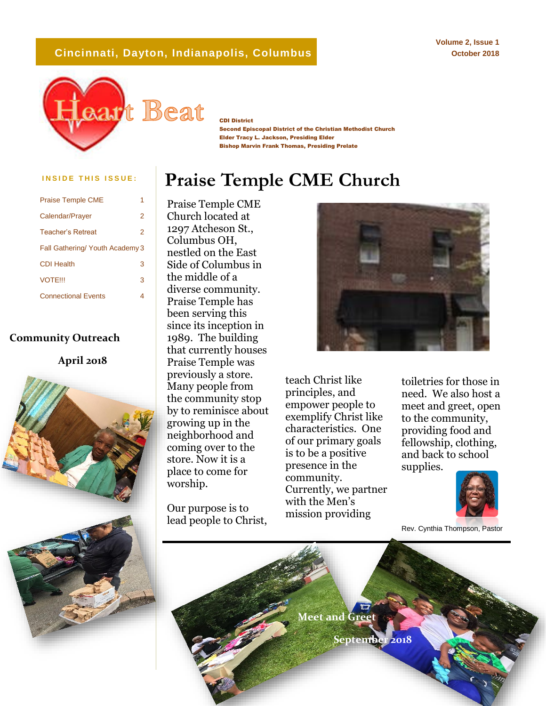#### **Cincinnati, Dayton, Indianapolis, Columbus**

**Volume 2, Issue 1 October 2018**



CDI District

Second Episcopal District of the Christian Methodist Church Elder Tracy L. Jackson, Presiding Elder Bishop Marvin Frank Thomas, Presiding Prelate

### **INSIDE THIS ISSUE:** Praise Temple CME Church

| <b>Praise Temple CME</b>        |   |
|---------------------------------|---|
| Calendar/Prayer                 | 2 |
| Teacher's Retreat               | 2 |
| Fall Gathering/ Youth Academy 3 |   |
| <b>CDI Health</b>               | 3 |
| <b>VOTFIII</b>                  | 3 |
| <b>Connectional Events</b>      | 4 |

#### **Community Outreach**





Praise Temple CME Church located at 1297 Atcheson St., Columbus OH, nestled on the East Side of Columbus in the middle of a diverse community. Praise Temple has been serving this since its inception in 1989. The building that currently houses Praise Temple was previously a store. Many people from the community stop by to reminisce about growing up in the neighborhood and coming over to the store. Now it is a place to come for worship.

Our purpose is to lead people to Christ,



teach Christ like principles, and empower people to exemplify Christ like characteristics. One of our primary goals is to be a positive presence in the community. Currently, we partner with the Men's mission providing

toiletries for those in need. We also host a meet and greet, open to the community, providing food and fellowship, clothing, and back to school supplies.



Rev. Cynthia Thompson, Pastor

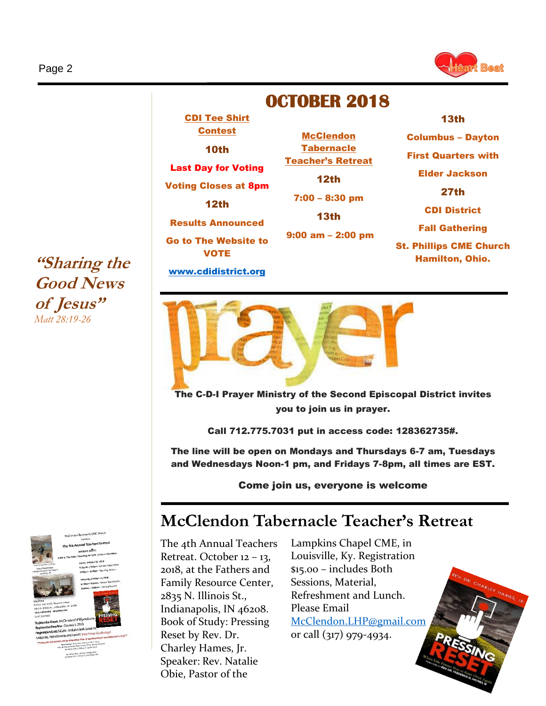

### **OCTOBER 2018**

**McClendon Tabernacle** Teacher's Retreat 12th

7:00 – 8:30 pm

Columbus – Dayton First Quarters with Elder Jackson 27th CDI District Fall Gathering St. Phillips CME Church Hamilton, Ohio.

13th

**"Sharing the Good News of Jesus"**  *Matt 28:19-26*



# Results Announced Go to The Website to VOTE [www.cdidistrict.org](http://www.cdidistrict.org/) 13th 9:00 am – 2:00 pm

CDI Tee Shirt Contest 10th

Last Day for Voting

Voting Closes at 8pm 12th



The C-D-I Prayer Ministry of the Second Episcopal District invites you to join us in prayer.

Call 712.775.7031 put in access code: 128362735#.

The line will be open on Mondays and Thursdays 6-7 am, Tuesdays and Wednesdays Noon-1 pm, and Fridays 7-8pm, all times are EST.

Come join us, everyone is welcome

## **McClendon Tabernacle Teacher's Retreat**

The 4th Annual Teachers Retreat. October 12 – 13, 2018, at the Fathers and Family Resource Center, 2835 N. Illinois St., Indianapolis, IN 46208. Book of Study: Pressing Reset by Rev. Dr. Charley Hames, Jr. Speaker: Rev. Natalie Obie, Pastor of the

Lampkins Chapel CME, in Louisville, Ky. Registration \$15.00 – includes Both Sessions, Material, Refreshment and Lunch. Please Email [McClendon.LHP@gmail.com](mailto:McClendon.LHP@gmail.com) or call (317) 979-4934.

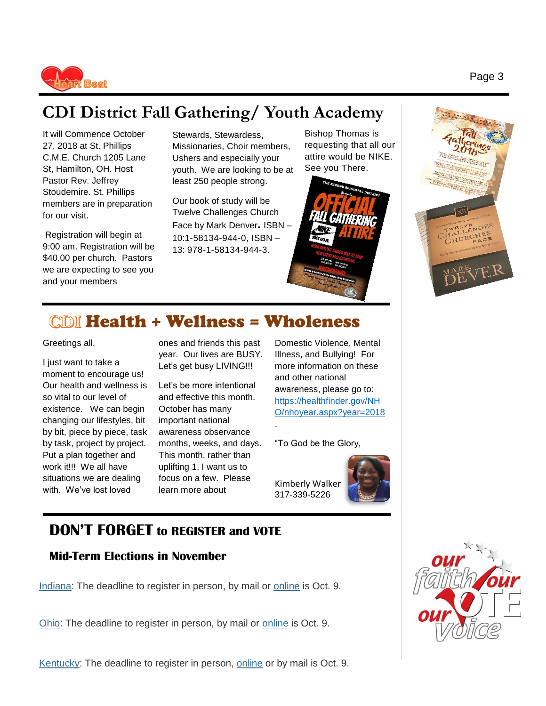

## **CDI District Fall Gathering/ Youth Academy**

It will Commence October 27, 2018 at St. Phillips C.M.E. Church 1205 Lane St, Hamilton, OH. Host Pastor Rev. Jeffrey Stoudemire. St. Phillips members are in preparation for our visit.

Registration will begin at 9:00 am. Registration will be \$40.00 per church. Pastors we are expecting to see you and your members

Stewards, Stewardess, Missionaries, Choir members, Ushers and especially your youth. We are looking to be at least 250 people strong.

Our book of study will be Twelve Challenges Church Face by Mark Denver. ISBN – 10:1-58134-944-0, ISBN – 13: 978-1-58134-944-3.

Bishop Thomas is requesting that all our attire would be NIKE. See you There.





### Health + Wellness = Wholeness

Greetings all,

I just want to take a moment to encourage us! Our health and wellness is so vital to our level of existence. We can begin changing our lifestyles, bit by bit, piece by piece, task by task, project by project. Put a plan together and work it!!! We all have situations we are dealing with. We've lost loved

ones and friends this past year. Our lives are BUSY. Let's get busy LIVING!!!

Let's be more intentional and effective this month. October has many important national awareness observance months, weeks, and days. This month, rather than uplifting 1, I want us to focus on a few. Please learn more about

Domestic Violence, Mental Illness, and Bullying! For more information on these and other national awareness, please go to: [https://healthfinder.gov/NH](https://healthfinder.gov/NHO/nhoyear.aspx?year=2018) [O/nhoyear.aspx?year=2018](https://healthfinder.gov/NHO/nhoyear.aspx?year=2018)

"To God be the Glory,

Kimberly Walker 317-339-5226

.



**DON'T FORGET to REGISTER and VOTE**

#### **Mid-Term Elections in November**

• [Indiana:](https://www.in.gov/sos/elections/2403.htm) The deadline to register in person, by mail or [online](https://indianavoters.in.gov/) is Oct. 9.

[Ohio:](https://www.sos.state.oh.us/elections/voters/register/#gref) The deadline to register in person, by mail or [online](https://olvr.sos.state.oh.us/) is Oct. 9.

[Kentucky:](https://elect.ky.gov/Resources/Pages/Registration.aspx) The deadline to register in person, [online](https://vrsws.sos.ky.gov/ovrweb/govoteky) or by mail is Oct. 9.